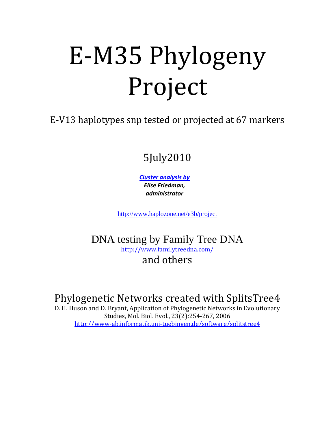## E‐M35 Phylogeny Project

E‐V13 haplotypes snp tested or projected at 67 markers

## 5July2010

*Cluster [analysis](http://www.haplozone.net/e3b/project/cluster) by Elise Friedman, administrator*

<http://www.haplozone.net/e3b/project>

## DNA t[esting by Family Tree](http://www.familytreedna.com/) DNA http://www.familytreedna.com/ and others

## Phylogenetic Networks created with SplitsTree4

D. H. Huson and D. Bryant, Application of Phylogenetic Networks in Evolutionary Studies, Mol. Biol. Evol., 23(2):254‐267, 2006 http://www-ab.informatik.uni-tuebingen.de/software/splitstree4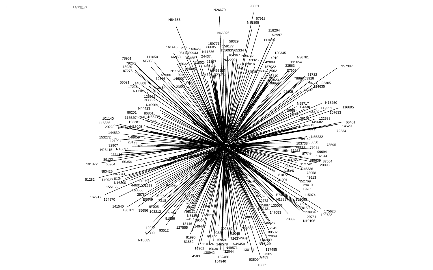

 $-1000.0$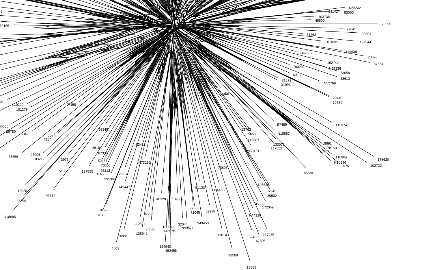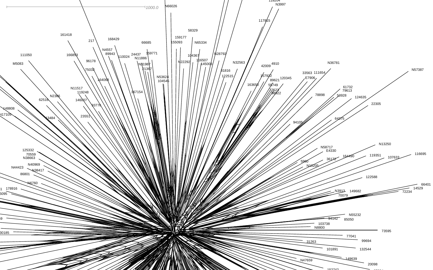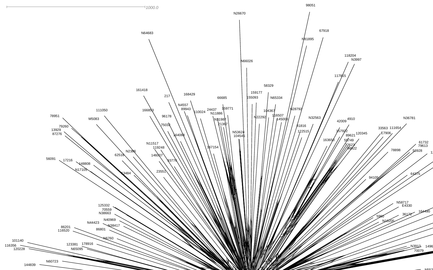N17105 

N60723

N65095 178916

 

N6760

N44423

N38417 N40969

N38663

 

17216

 

 $-1000.0$ 

M5083

N11517

 $\sqrt{7503}$ 

N<sub>23</sub>86





N64683

N4557 

24437 10024<br>1111 1124

N11886 N31987 

N53624 

N26670

N66026

 

N<sub>22292</sub>

1460Q7

N65334

  **N28792** 

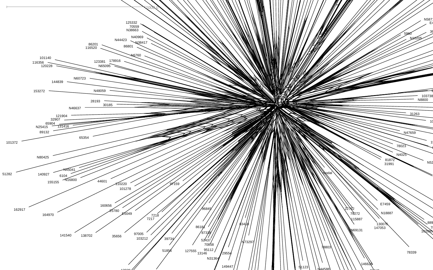